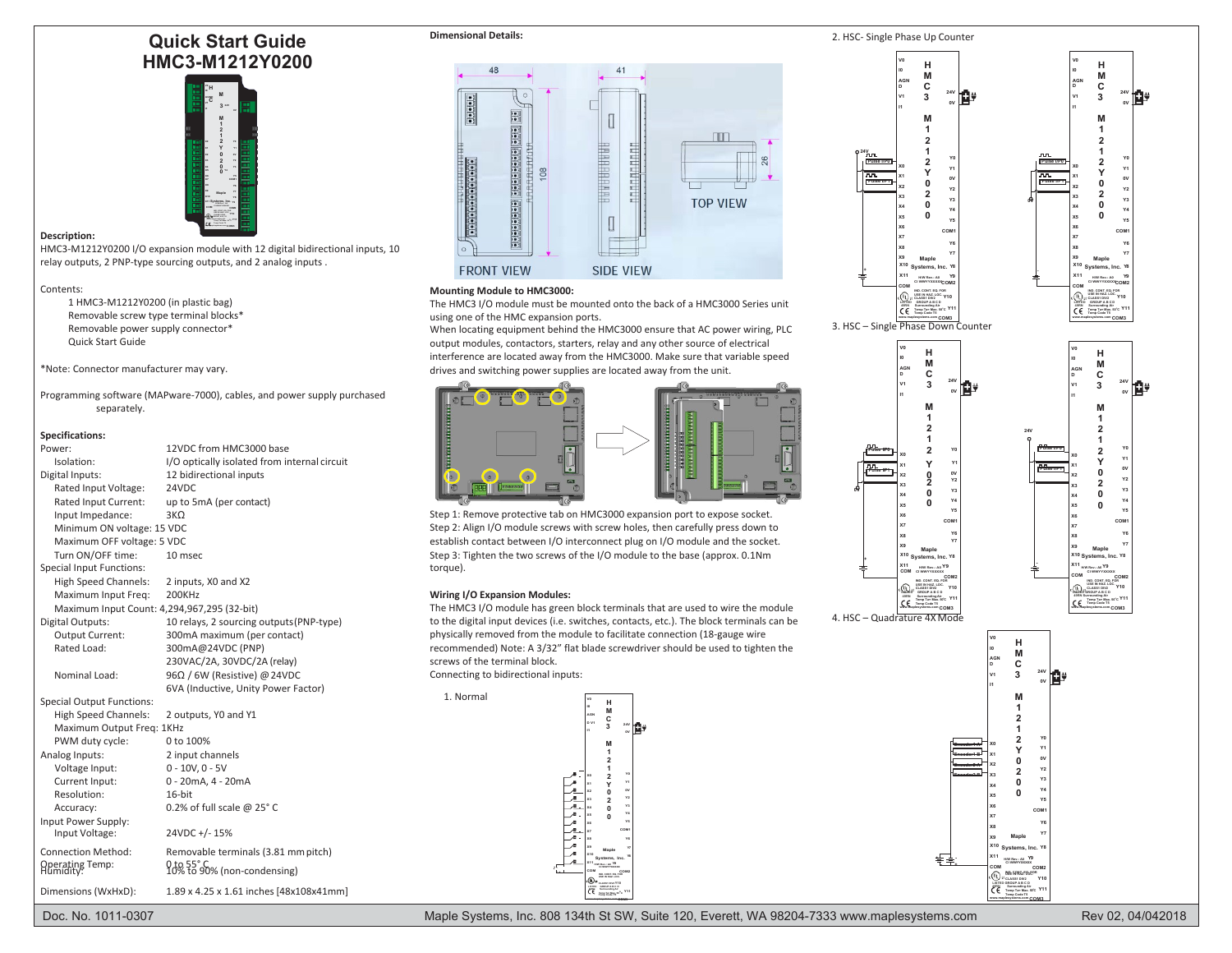# **Quick Start Guide HMC3-M1212Y0200**



## **Description:**

HMC3-M1212Y0200 I/O expansion module with 12 digital bidirectional inputs, 10 relay outputs, 2 PNP-type sourcing outputs, and 2 analog inputs .

#### Contents:

1 HMC3-M1212Y0200 (in plastic bag) Removable screw type terminal blocks\* Removable power supply connector\* Quick Start Guide

\*Note: Connector manufacturer may vary.

Programming software (MAPware-7000), cables, and power supply purchased separately.

## **Specifications:**

| Power:<br>Isolation:<br>Digital Inputs:<br>Rated Input Voltage:<br>Rated Input Current:                                              | 12VDC from HMC3000 base<br>I/O optically isolated from internal circuit<br>12 bidirectional inputs<br>24VDC<br>up to 5mA (per contact) | <br>possoon                                                                                                                                |
|--------------------------------------------------------------------------------------------------------------------------------------|----------------------------------------------------------------------------------------------------------------------------------------|--------------------------------------------------------------------------------------------------------------------------------------------|
| Input Impedance:<br>Minimum ON voltage: 15 VDC<br>Maximum OFF voltage: 5 VDC<br>Turn ON/OFF time:<br><b>Special Input Functions:</b> | $3K\Omega$<br>10 msec                                                                                                                  | Step 1: Remove protective ta<br>Step 2: Align I/O module scre<br>establish contact between I/<br>Step 3: Tighten the two screv<br>torque). |
| <b>High Speed Channels:</b><br>Maximum Input Freq:                                                                                   | 2 inputs, X0 and X2<br>200KHz<br>Maximum Input Count: 4,294,967,295 (32-bit)                                                           | <b>Wiring I/O Expansion Modul</b><br>The HMC3 I/O module has gr                                                                            |
| Digital Outputs:<br>Output Current:<br>Rated Load:                                                                                   | 10 relays, 2 sourcing outputs (PNP-type)<br>300mA maximum (per contact)<br>300mA@24VDC (PNP)<br>230VAC/2A, 30VDC/2A (relay)            | to the digital input devices (i.<br>physically removed from the<br>recommended) Note: A 3/32<br>screws of the terminal block.              |
| Nominal Load:                                                                                                                        | 96Ω / 6W (Resistive) @ 24VDC<br>6VA (Inductive, Unity Power Factor)                                                                    | Connecting to bidirectional in<br>1. Normal                                                                                                |
| <b>Special Output Functions:</b><br><b>High Speed Channels:</b><br>Maximum Output Freg: 1KHz<br>PWM duty cycle:                      | 2 outputs, YO and Y1<br>0 to 100%                                                                                                      |                                                                                                                                            |
| Analog Inputs:<br>Voltage Input:<br>Current Input:<br>Resolution:                                                                    | 2 input channels<br>$0 - 10V, 0 - 5V$<br>0 - 20mA, 4 - 20mA<br>16-bit                                                                  |                                                                                                                                            |
| Accuracy:<br>Input Power Supply:<br>Input Voltage:                                                                                   | 0.2% of full scale @ 25°C<br>24VDC +/-15%                                                                                              |                                                                                                                                            |
| <b>Connection Method:</b><br>Operating Temp:<br>Humidity:                                                                            | Removable terminals (3.81 mm pitch)<br>0 to 55°C<br>10% to 90% (non-condensing)                                                        | ŕ                                                                                                                                          |
| Dimensions (WxHxD):                                                                                                                  | 1.89 x 4.25 x 1.61 inches [48x108x41mm]                                                                                                |                                                                                                                                            |



### **Mounting Module to HMC3000:**

The HMC3 I/O module must be mounted onto the back of a HMC3000 Series unit using one of the HMC expansion ports.

When locating equipment behind the HMC3000 ensure that AC power wiring, PLC

output modules, contactors, starters, relay and any other source of electrical interference are located away from the HMC3000. Make sure that variable speed drives and switching power supplies are located away from the unit.



Step 1: Remove protective tab on HMC3000 expansion port to expose socket. Step 2: Align I/O module screws with screw holes, then carefully press down to establish contact between I/O interconnect plug on I/O module and the socket. Step 3: Tighten the two screws of the I/O module to the base (approx. 0.1Nm Special Input Functions: torque). **-**

#### **Wiring I/O Expansion Modules:**

The HMC3 I/O module has green block terminals that are used to wire the module to the digital input devices (i.e. switches, contacts, etc.). The block terminals can be physically removed from the module to facilitate connection (18-gauge wire recommended) Note: A 3/32" flat blade screwdriver should be used to tighten the screws of the terminal block. Connecting to bidirectional inputs:

**Y11 Temp Ta= Max. <sup>50</sup> CLASS1 DIV2 Y10 LISTED GROUP A B C D 49RN Surrounding Air USE IN HAZ. LOC. IND. CONT. EQ. FOR COM COM2 Maple Y7 X10 Systems, Inc. Y8 X11 H/W Rev.: A0 Y9 CI WWYYXXXXX X0 X1 X2 X3 X4 X5 X6 X7 X8 X9 H M C 3 M 1 2 1 2 Y 0 2 0 0 V0 I0 AGN D V1 I1 24V 0V Y0 Y1 0V Y2 Y3 Y4 Y5 COM1 Y6 - +**

**[www.maplesystems.com](http://www.maplesystems.com/) COM3**





**[www.maplesystems.com](http://www.maplesystems.com/) COM3** 3. HSC – Single Phase Down Counter

**V0 I0 AGN D V1 I1**

**X0 X1 X2 X3 X4 X5 X6 X7 X8 X9**

**X11 COM** **1**

**1**

**0 2**

**0**

**0**

**Pulse I/P0 Pulse I/P1 0V**

**+**



**0V**

**Y1 0V Y2 Y3 Y4 Y5**

**Y6 Y7**





**OC [www.maplesystems.com](http://www.maplesystems.com/) COM3**

**Y11**

Doc. No. 1011-0307 Maple Systems, Inc. 808 134th St SW, Suite 120, Everett, WA 98204-7333 [www.maplesystems.com](http://www.maplesystems.com/)